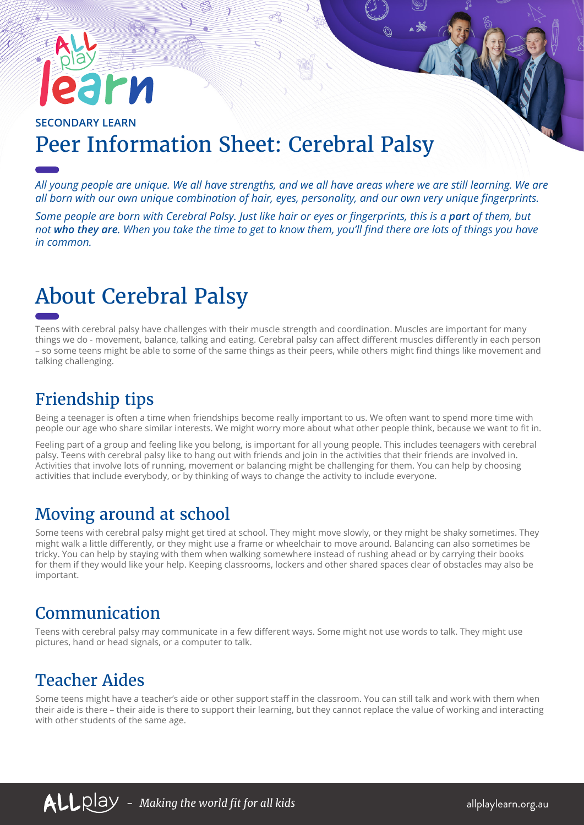# rи

#### **SECONDARY LEARN** Peer Information Sheet: Cerebral Palsy

*All young people are unique. We all have strengths, and we all have areas where we are still learning. We are all born with our own unique combination of hair, eyes, personality, and our own very unique fingerprints.* 

*Some people are born with Cerebral Palsy. Just like hair or eyes or fingerprints, this is a part of them, but not who they are. When you take the time to get to know them, you'll find there are lots of things you have in common.*

# About Cerebral Palsy

Teens with cerebral palsy have challenges with their muscle strength and coordination. Muscles are important for many things we do - movement, balance, talking and eating. Cerebral palsy can affect different muscles differently in each person – so some teens might be able to some of the same things as their peers, while others might find things like movement and talking challenging.

## Friendship tips

Being a teenager is often a time when friendships become really important to us. We often want to spend more time with people our age who share similar interests. We might worry more about what other people think, because we want to fit in.

Feeling part of a group and feeling like you belong, is important for all young people. This includes teenagers with cerebral palsy. Teens with cerebral palsy like to hang out with friends and join in the activities that their friends are involved in. Activities that involve lots of running, movement or balancing might be challenging for them. You can help by choosing activities that include everybody, or by thinking of ways to change the activity to include everyone.

#### Moving around at school

Some teens with cerebral palsy might get tired at school. They might move slowly, or they might be shaky sometimes. They might walk a little differently, or they might use a frame or wheelchair to move around. Balancing can also sometimes be tricky. You can help by staying with them when walking somewhere instead of rushing ahead or by carrying their books for them if they would like your help. Keeping classrooms, lockers and other shared spaces clear of obstacles may also be important.

## Communication

Teens with cerebral palsy may communicate in a few different ways. Some might not use words to talk. They might use pictures, hand or head signals, or a computer to talk.

#### Teacher Aides

Some teens might have a teacher's aide or other support staff in the classroom. You can still talk and work with them when their aide is there – their aide is there to support their learning, but they cannot replace the value of working and interacting with other students of the same age.